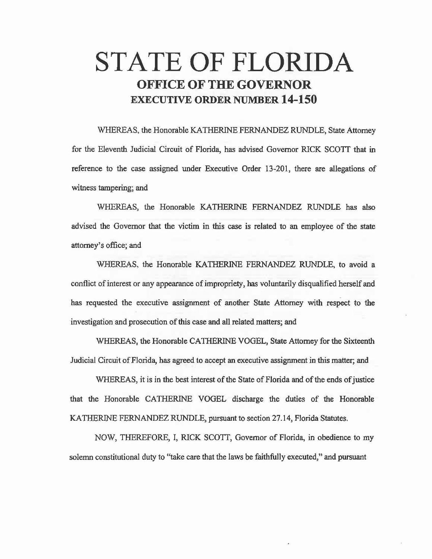## STATE OF FLORIDA OFFICE **OF THE GOVERNOR**  EXECUTIVE ORDER NUMBER **14-150**

WHEREAS, the Honorable KA THERINE FERNANDEZ RUNDLE, State Attorney for the Eleventh Judicial Circuit of Florida, has advised Governor RICK SCOTT that in reference to the case assigned under Executive Order 13-201, there are allegations of witness tampering; and

WHEREAS, the Honorable KATHERINE FERNANDEZ RUNDLE has also advised the Governor that the victim in this case is related to an employee of the state attorney's office; and

WHEREAS, the Honorable KATHERINE FERNANDEZ RUNDLE, to avoid a conflict of interest or any appearance of impropriety, has voluntarily disqualified herself and has requested the executive assignment of another State Attorney with respect to the investigation and prosecution of this case and all related matters; and

WHEREAS, the Honorable CATHERINE VOGEL, State Attorney for the Sixteenth Judicial Circuit of Florida, has agreed to accept an executive assignment in this matter; and

WHEREAS, it is in the best interest of the State of Florida and of the ends of justice that the Honorable CATHERINE VOGEL discharge the duties of the Honorable KATHERINE FERNANDEZ RUNDLE, pursuant to section 27.14, Florida Statutes.

NOW, THEREFORE, I, RICK SCOTT, Governor of Florida, in obedience to my solemn constitutional duty to "take care that the laws be faithfully executed," and pursuant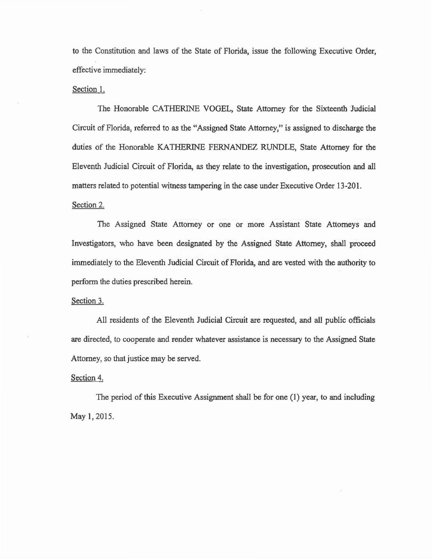to the Constitution and laws of the State of Florida, issue the following Executive Order, effective immediately:

## Section 1.

The Honorable CATHERINE VOGEL, State Attorney for the Sixteenth Judicial Circuit of Florida) referred to as the "Assigned State Attorney/' is assigned to discharge the duties of the Honorable KATHERINE FERNANDEZ RUNDLE, State Attorney for the Eleventh Judicial Circuit of Florida, as they relate to the investigation, prosecution and all matters related to potential witness tampering in the case under Executive Order 13·201. Section 2.

The Assigned State Attorney or one or more Assistant State Attorneys and Investigators, who have been designated by the Assigned State Attorney, shall proceed immediately to the Eleventh Judicial Circuit of Florida, and are vested with the authority to perform the duties prescribed herein.

Section 3.

All residents of the Eleventh Judicial Circuit are requested, and all public officials are directed) to cooperate and render whatever assistance is necessary to the Assigned State Attorney, so that justice may be served.

## Section 4.

The period of this Executive Assignment shall be for one (1) year, to and including May 1, 2015.